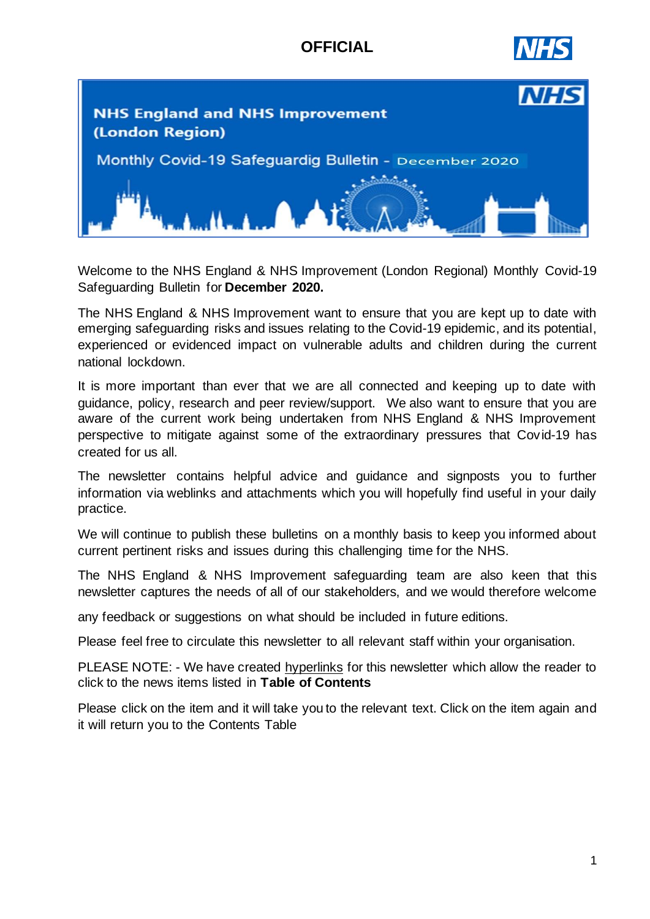# **OFFICIAL**





Welcome to the NHS England & NHS Improvement (London Regional) Monthly Covid-19 Safeguarding Bulletin for **December 2020.**

The NHS England & NHS Improvement want to ensure that you are kept up to date with emerging safeguarding risks and issues relating to the Covid-19 epidemic, and its potential, experienced or evidenced impact on vulnerable adults and children during the current national lockdown.

It is more important than ever that we are all connected and keeping up to date with guidance, policy, research and peer review/support. We also want to ensure that you are aware of the current work being undertaken from NHS England & NHS Improvement perspective to mitigate against some of the extraordinary pressures that Covid-19 has created for us all.

The newsletter contains helpful advice and guidance and signposts you to further information via weblinks and attachments which you will hopefully find useful in your daily practice.

We will continue to publish these bulletins on a monthly basis to keep you informed about current pertinent risks and issues during this challenging time for the NHS.

The NHS England & NHS Improvement safeguarding team are also keen that this newsletter captures the needs of all of our stakeholders, and we would therefore welcome

any feedback or suggestions on what should be included in future editions.

Please feel free to circulate this newsletter to all relevant staff within your organisation.

PLEASE NOTE: - We have created hyperlinks for this newsletter which allow the reader to click to the news items listed in **Table of Contents**

Please click on the item and it will take you to the relevant text. Click on the item again and it will return you to the Contents Table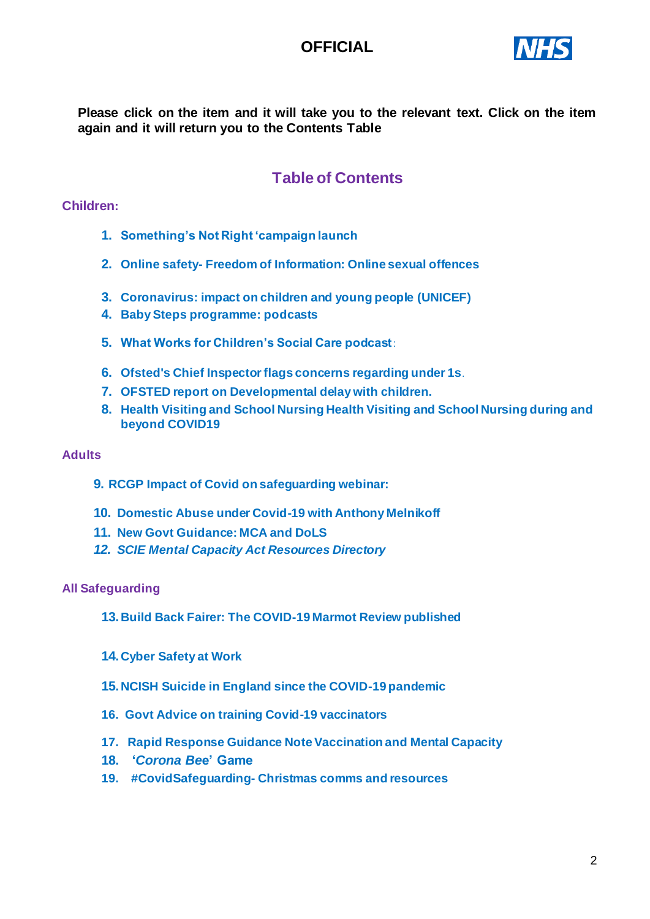# **OFFICIAL**



**Please click on the item and it will take you to the relevant text. Click on the item again and it will return you to the Contents Table**

# **Table of Contents**

### <span id="page-1-0"></span>**Children:**

- **1. [Something's Not Right 'campaign launch](#page-2-0)**
- <span id="page-1-1"></span>**2. Online safety- [Freedom of Information: Online sexual offences](#page-2-1)**
- <span id="page-1-2"></span>**3. [Coronavirus: impact on children and young people](#page-2-2) (UNICEF)**
- <span id="page-1-4"></span><span id="page-1-3"></span>**4. [Baby Steps programme: podcasts](#page-2-3)**
- **5. [What Works for Children's Social Care podcast](#page-3-0)**:
- **6. [Ofsted's Chief Inspector flags concerns regarding under 1s](#page-3-1)**.
- <span id="page-1-5"></span>**7. [OFSTED report on Developmental delay with children](#page-3-2).**
- <span id="page-1-6"></span>**8. [Health Visiting and School Nursing Health](#page-3-3) Visiting and School Nursing during and [beyond COVID19](#page-3-3)**

#### **Adults**

- <span id="page-1-7"></span>**9. RCGP Impact [of Covid on safeguarding](#page-4-0) webinar:**
- **10. [Domestic Abuse under Covid-19 with Anthony Melnikoff](#page-4-1)**
- <span id="page-1-8"></span>**11. [New Govt Guidance: MCA and DoLS](#page-4-2)**
- <span id="page-1-9"></span>*12. [SCIE Mental Capacity Act Resources Directory](#page-5-0)*

#### <span id="page-1-10"></span>**All Safeguarding**

- **13.[Build Back Fairer: The COVID-19 Marmot Review published](#page-5-1)**
- <span id="page-1-12"></span><span id="page-1-11"></span>**14.[Cyber Safety at Work](#page-5-2)**
- **15.[NCISH Suicide in England since the COVID-19 pandemic](#page-6-0)**
- <span id="page-1-13"></span>**16. [Govt Advice on training Covid-19 vaccinators](#page-6-1)**
- **17. [Rapid Response Guidance Note Vaccination and Mental Capacity](#page-6-2)**
- <span id="page-1-14"></span>**18. '***[Corona Be](#page-6-3)***e' Game**
- <span id="page-1-15"></span>**19. #CovidSafeguarding- Christmas comms and resources**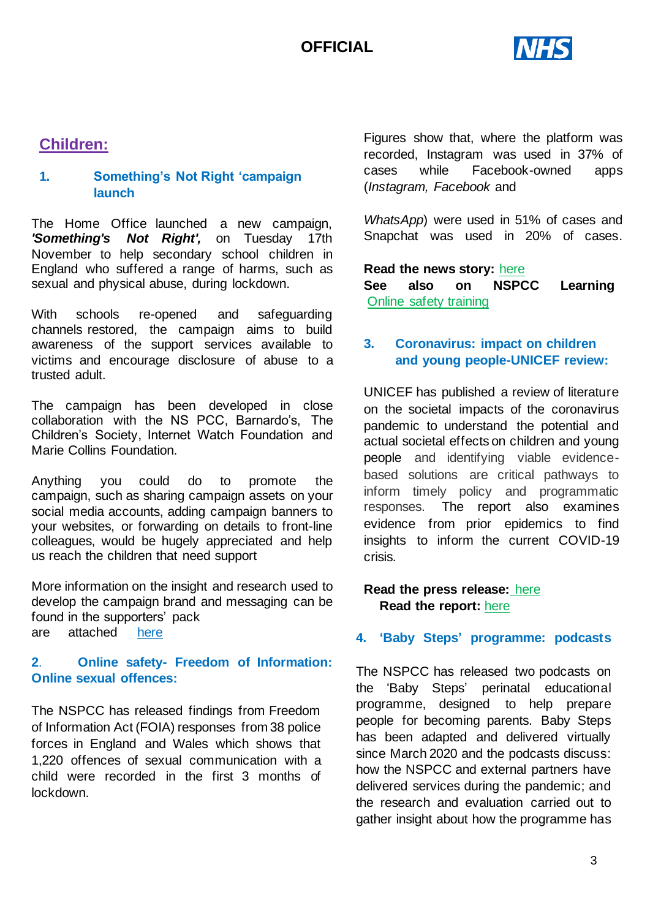

# **Children:**

## <span id="page-2-0"></span>**1. [Something's Not Right 'campaign](#page-1-0)  [launch](#page-1-0)**

The Home Office launched a new campaign, *['Something's Not Right'](https://scanmail.trustwave.com/?c=11436&d=k6ay3xuIUi-71e07Teg0Sqoiw2IiJHFkyDkS8FsiNA&u=https%3a%2f%2fresponse%2esmartcdn%2eco%2euk%2fhomeofficeR4%2fmailresponse%2easp%3ftid%3d21944%26em%3d19364269%26turl%3dhttps%3a%2f%2fwww%2echildline%2eorg%2euk%2fsomethings-not-right),* on Tuesday 17th November to help secondary school children in England who suffered a range of harms, such as sexual and physical abuse, during lockdown.

With schools re-opened and safeguarding channels restored, the campaign aims to build awareness of the support services available to victims and encourage disclosure of abuse to a trusted adult.

The campaign has been developed in close collaboration with the NS PCC, Barnardo's, The Children's Society, Internet Watch Foundation and Marie Collins Foundation.

Anything you could do to promote the campaign, such as sharing campaign assets on your social media accounts, adding campaign banners to your websites, or forwarding on details to front-line colleagues, would be hugely appreciated and help us reach the children that need support

More information on the insight and research used to develop the campaign brand and messaging can be found in the supporters' pack are attached [here](https://www.childline.org.uk/somethings-not-right)

## <span id="page-2-1"></span>**2**. **Online safety- [Freedom of Information:](#page-1-1) [Online sexual offences:](#page-1-1)**

The NSPCC has released findings from Freedom of Information Act (FOIA) responses from 38 police forces in England and Wales which shows that 1,220 offences of sexual communication with a child were recorded in the first 3 months of lockdown.

Figures show that, where the platform was recorded, Instagram was used in 37% of cases while Facebook-owned apps (*Instagram, Facebook* and

*WhatsApp*) were used in 51% of cases and Snapchat was used in 20% of cases.

#### **Read the news story:** [here](https://www.nspcc.org.uk/about-us/news-opinion/2020/instagram-grooming-crimes-children-lockdown/?utm_source=Adestra&utm_medium=email&utm_content=Instagram%20most%20recorded%20platform%20used%20in%20child%20grooming%20crimes%20during%20lockdown&utm_campaign=20201123_KIS_CASPAR_November23)

**See also on NSPCC Learning** [Online safety training](http://email.nspcc.org.uk/c/19B4oTUFjLJkHWjZIKKDJxlXOY)

## <span id="page-2-2"></span>**3. [Coronavirus: impact on children](#page-1-2)  [and young people-UNICEF](#page-1-2) review:**

UNICEF has published a review of literature on the societal impacts of the coronavirus pandemic to understand the potential and actual societal effects on children and young people and identifying viable evidencebased solutions are critical pathways to inform timely policy and programmatic responses. The report also examines evidence from prior epidemics to find insights to inform the current COVID-19 crisis.

### **Read the press release:** [here](https://www.unicef-irc.org/publications/1149-beyond-masks-societal-impacts-of-covid-19-and-accelerated-solutions-for-children-and-adolescents.html) **Read the report:** [here](https://www.unicef-irc.org/publications/1149-beyond-masks-societal-impacts-of-covid-19-and-accelerated-solutions-for-children-and-adolescents.html)

### <span id="page-2-3"></span>**4. 'Baby Steps' [programme: podcasts](#page-1-3)**

The NSPCC has released two podcasts on the 'Baby Steps' perinatal educational programme, designed to help prepare people for becoming parents. Baby Steps has been adapted and delivered virtually since March 2020 and the podcasts discuss: how the NSPCC and external partners have delivered services during the pandemic; and the research and evaluation carried out to gather insight about how the programme has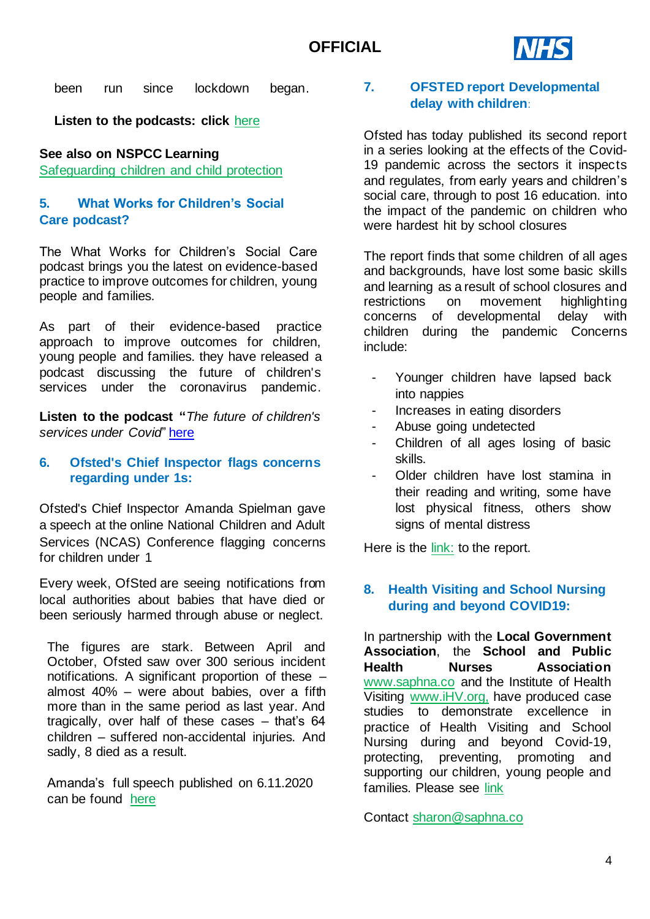

been run since lockdown began.

**Listen to the podcasts: click** [here](https://learning.nspcc.org.uk/news/2020/november/podcast-perinatal-education-during-covid-19-baby-steps)

## **See also on NSPCC Learning**

[Safeguarding children and child protection](http://email.nspcc.org.uk/c/19B4TkUvOHGlXwKoerLptFMywf)

## <span id="page-3-0"></span>**5. [What Works for Children's Social](#page-1-4)  [Care podcast?](#page-1-4)**

The What Works for Children's Social Care podcast brings you the latest on evidence-based practice to improve outcomes for children, young people and families.

As part of their evidence-based practice approach to improve outcomes for children, young people and families. they have released a podcast discussing the future of children's services under the coronavirus pandemic.

<span id="page-3-1"></span>**Listen to the podcast "***The future of children's services under Covid*" [here](https://anchor.fm/what-works-for-childrens-social-care/episodes/The-Future-of-Childrens-Services-Under-Covid--Jenny-Cole---President-of-the-Association-of-Directors-of-Childrens-Services-eme0aq)

## **6. [Ofsted's Chief Inspector flags concerns](#page-1-5)  [regarding under 1s:](#page-1-5)**

Ofsted's Chief Inspector Amanda Spielman gave a speech at the online National Children and Adult Services (NCAS) Conference flagging concerns for children under 1

Every week, OfSted are seeing notifications from local authorities about babies that have died or been seriously harmed through abuse or neglect.

The figures are stark. Between April and October, Ofsted saw over 300 serious incident notifications. A significant proportion of these – almost 40% – were about babies, over a fifth more than in the same period as last year. And tragically, over half of these cases – that's 64 children – suffered non-accidental injuries. And sadly, 8 died as a result.

Amanda's full speech published on 6.11.2020 can be found [here](https://www.gov.uk/government/speeches/amanda-spielman-at-ncasc-2020)

## <span id="page-3-2"></span>**7. [OFSTED report Developmental](#page-1-5)  [delay with children](#page-1-5)**:

Ofsted has today published its second report in a [series looking at the effects of the Covid-](https://www.gov.uk/government/collections/ofsted-covid-19-series)[19 pandemic across the sectors it inspects](https://www.gov.uk/government/collections/ofsted-covid-19-series)  [and regulates,](https://www.gov.uk/government/collections/ofsted-covid-19-series) from early years and children's social care, through to post 16 education. into the impact of the pandemic on children who were hardest hit by school closures

The report finds that some children of all ages and backgrounds, have lost some basic skills and learning as a result of school closures and restrictions on movement highlighting concerns of developmental delay with children during the pandemic Concerns include:

- Younger children have lapsed back into nappies
- Increases in eating disorders
- Abuse going undetected
- Children of all ages losing of basic skills.
- Older children have lost stamina in their reading and writing, some have lost physical fitness, others show signs of mental distress

Here is the [link:](https://www.gov.uk/government/news/ofsted-children-hardest-hit-by-covid-19-pandemic-are-regressing-in-basic-skills-and-learning) to the report.

## <span id="page-3-3"></span>**8. [Health Visiting and School Nursing](#page-1-6) [during and beyond COVID19:](#page-1-6)**

In partnership with the **Local Government Association**, the **School and Public Health Nurses Association** [www.saphna.co](http://www.saphna.co/) and the Institute of Health Visiting [www.iHV.org,](http://www.ihv.org/) have produced case studies to demonstrate excellence in practice of Health Visiting and School Nursing during and beyond Covid-19, protecting, preventing, promoting and supporting our children, young people and families. Please see [link](https://www.local.gov.uk/healthy-child-programme-during-covid-19)

Contact [sharon@saphna.co](mailto:sharon@saphna.co)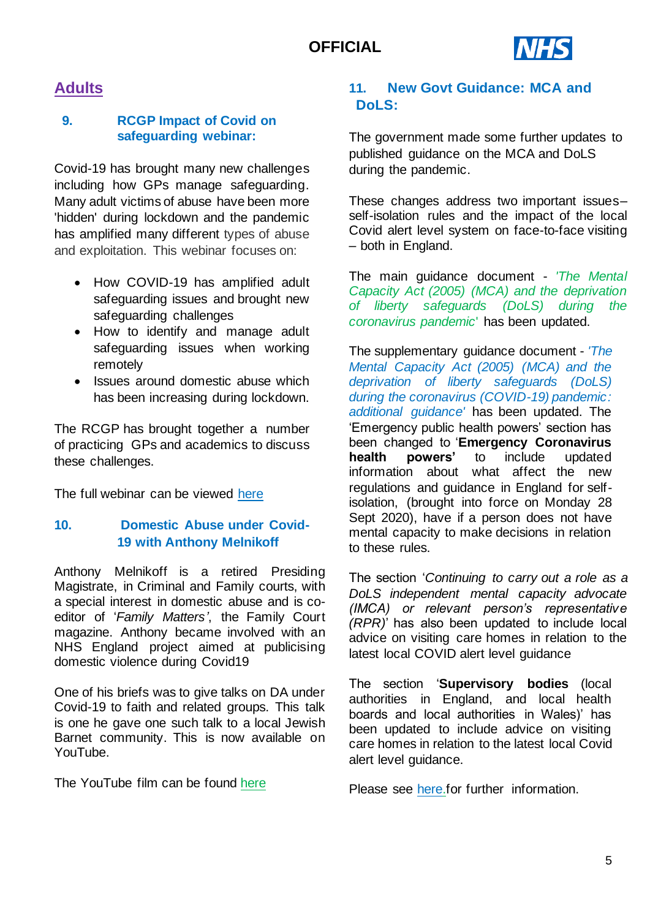

# **Adults**

## <span id="page-4-0"></span>**9. [RCGP Impact](#page-1-7) of Covid on [safeguarding](#page-1-7) webinar:**

Covid-19 has brought many new challenges including how GPs manage safeguarding. Many adult victims of abuse have been more 'hidden' during lockdown and the pandemic has amplified many different types of abuse and exploitation. This webinar focuses on:

- How COVID-19 has amplified adult safeguarding issues and brought new safeguarding challenges
- How to identify and manage adult safeguarding issues when working remotely
- Issues around domestic abuse which has been increasing during lockdown.

The RCGP has brought together a number of practicing GPs and academics to discuss these challenges.

The full webinar can be viewed [here](https://elearning.rcgp.org.uk/mod/page/view.php?id=10838&fbclid=IwAR3wckOiGDELd1U3oeID1BVE4A50b7LaTAlz7M1k9lxgFqKEjvBRVZrUpVw)

## **10. Domestic Abuse under Covid-19 with Anthony Melnikoff**

Anthony Melnikoff is a retired Presiding Magistrate, in Criminal and Family courts, with a special interest in domestic abuse and is coeditor of '*Family Matters'*, the Family Court magazine. Anthony became involved with an NHS England project aimed at publicising domestic violence during Covid19

One of his briefs was to give talks on DA under Covid-19 to faith and related groups. This talk is one he gave one such talk to a local Jewish Barnet community. This is now available on YouTube.

The YouTube film can be found [here](https://www.youtube.com/watch?v=guCMj-Sxe6U)

## <span id="page-4-2"></span>**11. [New Govt Guidance: MCA and](#page-1-8)  [DoLS:](#page-1-8)**

The government made some further updates to published guidance on the MCA and DoLS during the pandemic.

These changes address two important issues– self-isolation rules and the impact of the local Covid alert level system on face-to-face visiting – both in England.

The main guidance document - *['The Mental](https://www.gov.uk/government/publications/coronavirus-covid-19-looking-after-people-who-lack-mental-capacity)  [Capacity Act \(2005\) \(MCA\) and the deprivation](https://www.gov.uk/government/publications/coronavirus-covid-19-looking-after-people-who-lack-mental-capacity)  [of liberty safeguards \(DoLS\) during the](https://www.gov.uk/government/publications/coronavirus-covid-19-looking-after-people-who-lack-mental-capacity)  [coronavirus pandemic](https://www.gov.uk/government/publications/coronavirus-covid-19-looking-after-people-who-lack-mental-capacity)*' has been updated.

The supplementary guidance document - *['The](https://www.gov.uk/government/publications/coronavirus-covid-19-looking-after-people-who-lack-mental-capacity/the-mental-capacity-act-2005-mca-and-deprivation-of-liberty-safeguards-dols-during-the-coronavirus-covid-19-pandemic-additional-guidancea)  [Mental Capacity Act \(2005\) \(MCA\) and the](https://www.gov.uk/government/publications/coronavirus-covid-19-looking-after-people-who-lack-mental-capacity/the-mental-capacity-act-2005-mca-and-deprivation-of-liberty-safeguards-dols-during-the-coronavirus-covid-19-pandemic-additional-guidancea)  [deprivation of liberty safeguards \(DoLS\)](https://www.gov.uk/government/publications/coronavirus-covid-19-looking-after-people-who-lack-mental-capacity/the-mental-capacity-act-2005-mca-and-deprivation-of-liberty-safeguards-dols-during-the-coronavirus-covid-19-pandemic-additional-guidancea)  [during the coronavirus \(COVID-19\) pandemic:](https://www.gov.uk/government/publications/coronavirus-covid-19-looking-after-people-who-lack-mental-capacity/the-mental-capacity-act-2005-mca-and-deprivation-of-liberty-safeguards-dols-during-the-coronavirus-covid-19-pandemic-additional-guidancea)  [additional guidance'](https://www.gov.uk/government/publications/coronavirus-covid-19-looking-after-people-who-lack-mental-capacity/the-mental-capacity-act-2005-mca-and-deprivation-of-liberty-safeguards-dols-during-the-coronavirus-covid-19-pandemic-additional-guidancea)* has been updated. The 'Emergency public health powers' section has been changed to '**Emergency Coronavirus health powers'** to include updated information about what affect the new regulations and guidance in England for selfisolation, (brought into force on Monday 28 Sept 2020), have if a person does not have mental capacity to make decisions in relation to these rules.

<span id="page-4-1"></span>The section '*Continuing to carry out a role as a DoLS independent mental capacity advocate (IMCA) or relevant person's representative (RPR)*' has also been updated to include local advice on visiting care homes in relation to the latest local COVID alert level guidance

The section '**Supervisory bodies** (local authorities in England, and local health boards and local authorities in Wales)' has been updated to include advice on visiting care homes in relation to the latest local Covid alert level guidance.

Please see [here.](https://www.gov.uk/government/publications/coronavirus-covid-19-looking-after-people-who-lack-mental-capacity)for further information.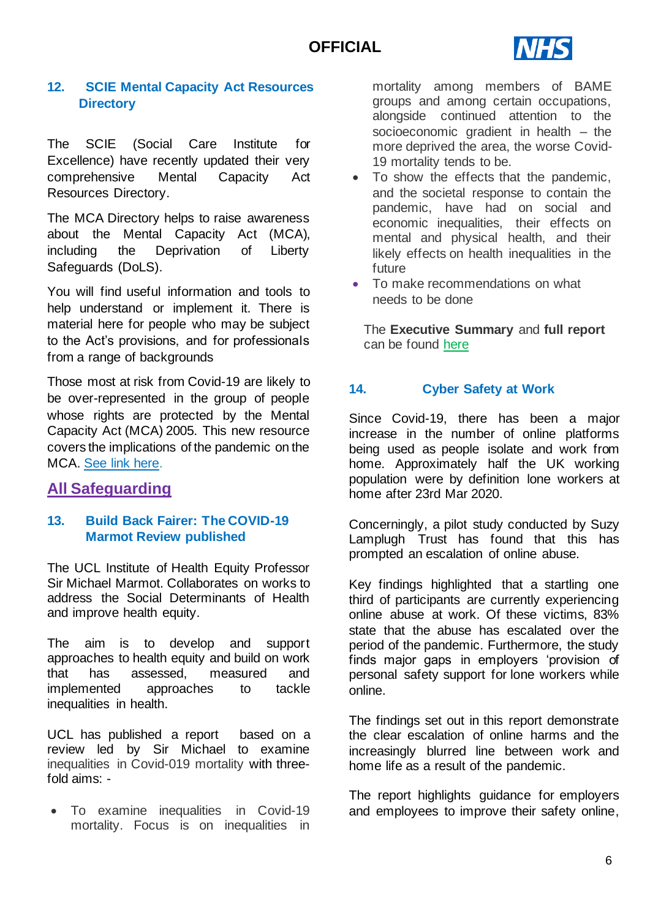# **OFFICIAL**



## <span id="page-5-0"></span>**12. [SCIE Mental Capacity Act Resources](#page-1-9)  [Directory](#page-1-9)**

The SCIE (Social Care Institute for Excellence) have recently updated their very comprehensive Mental Capacity Act Resources Directory.

The MCA Directory helps to raise awareness about the Mental Capacity Act (MCA), including the Deprivation of Liberty Safeguards (DoLS).

You will find useful information and tools to help understand or implement it. There is material here for people who may be subject to the Act's provisions, and for professionals from a range of backgrounds

Those most at risk from Covid-19 are likely to be over-represented in the group of people whose rights are protected by the Mental Capacity Act (MCA) 2005. This new resource covers the implications of the pandemic on the MCA. [See link here.](https://www.scie.org.uk/mca/directory?utm_campaign=11667333_MCA%20update%20mailing%202020&utm_medium=email&utm_source=SOCIAL%20CARE%20INSTITUTE%20FOR%20EXCELLENCE%20&utm_sfid=0030f00002whanrAAA&utm_role=Nurse&dm_i=4O5,6Y2KL,U07RNY,RXZ4U,1)

## **All Safeguarding**

### <span id="page-5-1"></span>**13. [Build Back Fairer: The COVID-19](#page-1-10)  [Marmot Review published](#page-1-10)**

The UCL Institute of Health Equity Professor Sir Michael Marmot. Collaborates on works to address the Social Determinants of Health and improve health equity.

The aim is to develop and support approaches to health equity and build on work that has assessed, measured and implemented approaches to tackle inequalities in health.

UCL has published a report based on a review led by Sir Michael to examine inequalities in Covid-019 mortality with threefold aims: -

• To examine inequalities in Covid-19 mortality. Focus is on inequalities in mortality among members of BAME groups and among certain occupations, alongside continued attention to the socioeconomic gradient in health – the more deprived the area, the worse Covid-19 mortality tends to be.

- To show the effects that the pandemic, and the societal response to contain the pandemic, have had on social and economic inequalities, their effects on mental and physical health, and their likely effects on health inequalities in the future
- To make recommendations on what needs to be done

The **Executive Summary** and **full report** can be found [here](http://www.instituteofhealthequity.org/resources-reports/build-back-fairer-the-covid-19-marmot-review?utm_source=The%20King%27s%20Fund%20newsletters%20%28main%20account%29&utm_medium=email&utm_campaign=12038565_NEWSL_HMP%202020-12-15&dm_i=21A8,7610L,QZXL6D,T1UKE,1)

## <span id="page-5-2"></span>**14. [Cyber Safety at Work](#page-1-11)**

Since Covid-19, there has been a major increase in the number of online platforms being used as people isolate and work from home. Approximately half the UK working population were by definition lone workers at home after 23rd Mar 2020.

Concerningly, a pilot study conducted by Suzy Lamplugh Trust has found that this has prompted an escalation of online abuse.

Key findings highlighted that a startling one third of participants are currently experiencing online abuse at work. Of these victims, 83% state that the abuse has escalated over the period of the pandemic. Furthermore, the study finds major gaps in employers 'provision of personal safety support for lone workers while online.

The findings set out in this report demonstrate the clear escalation of online harms and the increasingly blurred line between work and home life as a result of the pandemic.

The report highlights guidance for employers and employees to improve their safety online,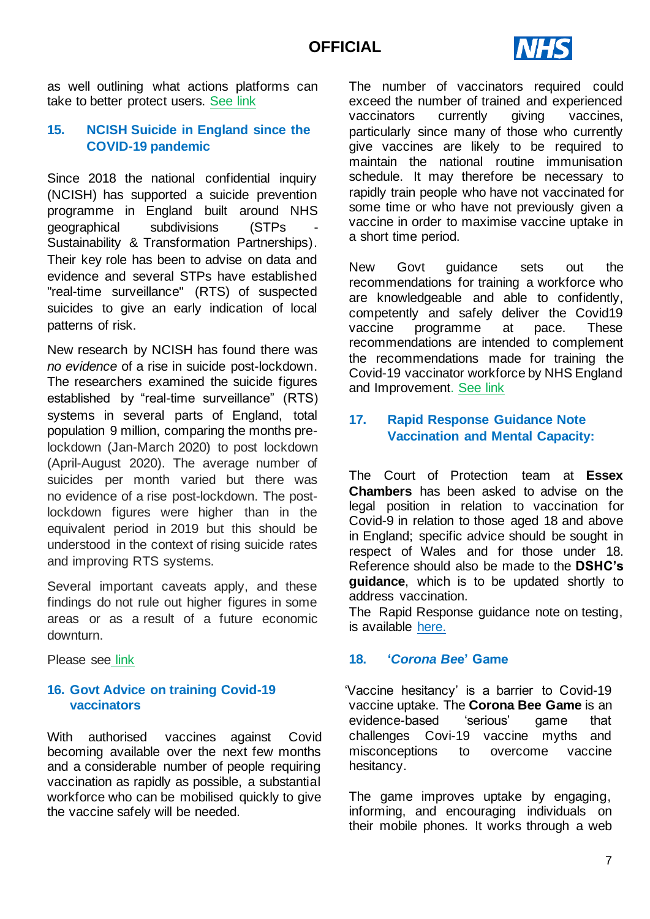

as well outlining what actions platforms can take to better protect users. [See link](https://www.suzylamplugh.org/national-personal-safety-day-2020-cyber-safety-at-work)

## <span id="page-6-0"></span>**15. [NCISH Suicide in England since the](#page-1-12)  [COVID-19 pandemic](#page-1-12)**

Since 2018 the national confidential inquiry (NCISH) has supported a suicide prevention programme in England built around NHS geographical subdivisions (STPs - Sustainability & Transformation Partnerships). Their key role has been to advise on data and evidence and several STPs have established "real-time surveillance" (RTS) of suspected suicides to give an early indication of local patterns of risk.

New research by NCISH has found there was *no evidence* of a rise in suicide post-lockdown. The researchers examined the suicide figures established by "real-time surveillance" (RTS) systems in several parts of England, total population 9 million, comparing the months prelockdown (Jan-March 2020) to post lockdown (April-August 2020). The average number of suicides per month varied but there was no evidence of a rise post-lockdown. The postlockdown figures were higher than in the equivalent period in 2019 but this should be understood in the context of rising suicide rates and improving RTS systems.

Several important caveats apply, and these findings do not rule out higher figures in some areas or as a result of a future economic downturn.

Please see [link](http://documents.manchester.ac.uk/display.aspx?DocID=51861)

## <span id="page-6-1"></span>**16. Govt Advice on training Covid-19 vaccinators**

With authorised vaccines against Covid becoming available over the next few months and a considerable number of people requiring vaccination as rapidly as possible, a substantial workforce who can be mobilised quickly to give the vaccine safely will be needed.

The number of vaccinators required could exceed the number of trained and experienced vaccinators currently giving vaccines, particularly since many of those who currently give vaccines are likely to be required to maintain the national routine immunisation schedule. It may therefore be necessary to rapidly train people who have not vaccinated for some time or who have not previously given a vaccine in order to maximise vaccine uptake in a short time period.

New Govt guidance sets out the recommendations for training a workforce who are knowledgeable and able to confidently, competently and safely deliver the Covid19 vaccine programme at pace. These recommendations are intended to complement the recommendations made for training the Covid-19 vaccinator workforce by NHS England and Improvement. [See link](https://www.gov.uk/government/publications/covid-19-vaccinator-training-recommendations/training-recommendations-for-covid-19-vaccinators)

## <span id="page-6-2"></span>**17. [Rapid Response Guidance Note](#page-1-13)  [Vaccination and Mental Capacity:](#page-1-13)**

The Court of Protection team at **Essex Chambers** has been asked to advise on the legal position in relation to vaccination for Covid-9 in relation to those aged 18 and above in England; specific advice should be sought in respect of Wales and for those under 18. Reference should also be made to the **DSHC's guidance**, which is to be updated shortly to address vaccination.

The Rapid Response guidance note on testing, is available [here.](https://1f2ca7mxjow42e65q49871m1-wpengine.netdna-ssl.com/wp-content/uploads/2020/12/Mental-Capacity-Guidance-Note-COVID-19-vaccination-and-capacity-v2.pdf)

### <span id="page-6-3"></span>**18. '***[Corona Be](#page-1-14)***e' Game**

'Vaccine hesitancy' is a barrier to Covid-19 vaccine uptake. The **Corona Bee Game** is an evidence-based 'serious' game that challenges Covi-19 vaccine myths and misconceptions to overcome vaccine hesitancy.

The game improves uptake by engaging, informing, and encouraging individuals on their mobile phones. It works through a web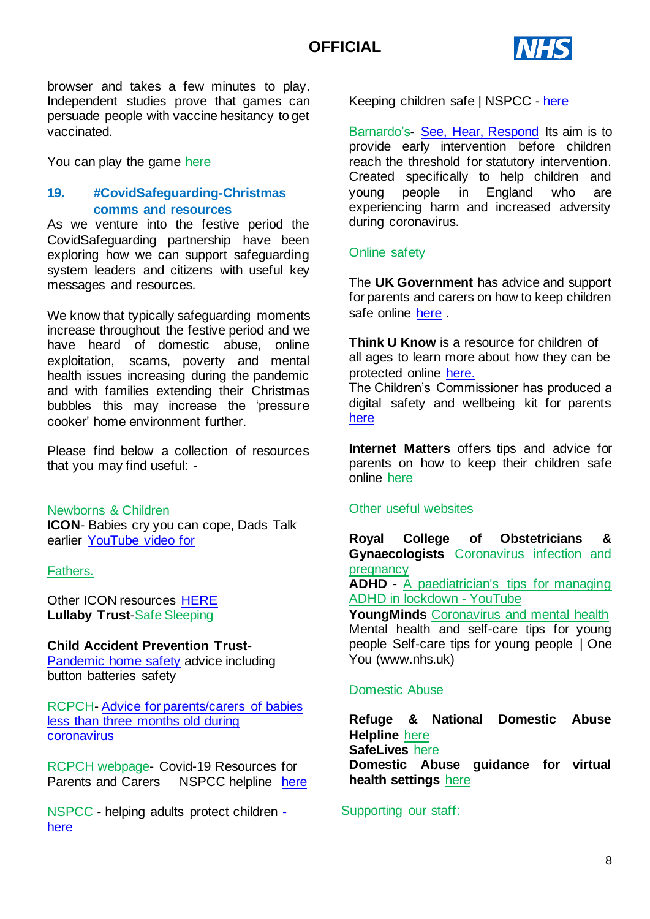

browser and takes a few minutes to play. Independent studies prove that games can persuade people with vaccine hesitancy to get vaccinated.

You can play the game [here](https://games.focusgames.co.uk/CoronaBee/game/)

## **19. [#CovidSafeguarding-Christmas](#page-1-15)  [comms and resources](#page-1-15)**

As we venture into the festive period the CovidSafeguarding partnership have been exploring how we can support safeguarding system leaders and citizens with useful key messages and resources.

We know that typically safeguarding moments increase throughout the festive period and we have heard of domestic abuse, online exploitation, scams, poverty and mental health issues increasing during the pandemic and with families extending their Christmas bubbles this may increase the 'pressure cooker' home environment further.

Please find below a collection of resources that you may find useful: -

#### Newborns & Children

**ICON**- Babies cry you can cope, Dads Talk earlier [YouTube video for](https://www.youtube.com/watch?v=NOkNPegEE50&feature=youtu.be) 

### [Fathers.](https://www.youtube.com/watch?v=NOkNPegEE50&feature=youtu.be)

Other ICON resources [HERE](https://iconcope.org/parentsadvice/) **Lullaby Trust**[-Safe Sleeping](https://www.lullabytrust.org.uk/safer-sleep-advice/safer-sleep-for-babies-online-presentations/)

### **Child Accident Prevention Trust**-

[Pandemic home safety](https://www.capt.org.uk/Listing/Category/safety-in-lockdown) advice including button batteries safety

RCPCH- [Advice for parents/carers of babies](https://www.rcpch.ac.uk/resources/covid-19-resources-parents-carers)  [less than three months old during](https://www.rcpch.ac.uk/resources/covid-19-resources-parents-carers)  [coronavirus](https://www.rcpch.ac.uk/resources/covid-19-resources-parents-carers)

RCPCH webpage- Covid-19 Resources for Parents and Carers NSPCC helpline [here](https://www.rcpch.ac.uk/resources/covid-19-resources-parents-carers)

NSPCC - helping adults protect children [here](https://www.rcpch.ac.uk/resources/covid-19-resources-parents-carers)

Keeping children safe | NSPCC - [here](https://www.nspcc.org.uk/keeping-children-safe/)

Barnardo's- [See, Hear, Respond](https://www.barnardos.org.uk/see-hear-respond) Its aim is to provide early intervention before children reach the threshold for statutory intervention. Created specifically to help children and young people in England who are experiencing harm and increased adversity during coronavirus.

## Online safety

The **UK Government** has advice and support for parents and carers on how to keep children safe online [here](https://www.gov.uk/government/publications/coronavirus-covid-19-keeping-children-safe-online/coronavirus-covid-19-support-for-parents-and-carers-to-keep-children-safe-online) .

**Think U Know** is a resource for children of all ages to learn more about how they can be protected online [here.](https://www.thinkuknow.co.uk/)

The Children's Commissioner has produced a digital safety and wellbeing kit for parents [here](https://www.childrenscommissioner.gov.uk/coronavirus/digital-safety-and-wellbeing-kit/#163961_20200414015459)

**Internet Matters** offers tips and advice for parents on how to keep their children safe online [here](https://www.internetmatters.org/)

#### Other useful websites

**Royal College of Obstetricians & Gynaecologists** [Coronavirus infection and](https://www.rcog.org.uk/en/guidelines-research-services/guidelines/coronavirus-pregnancy/covid-19-virus-infection-and-pregnancy/)  [pregnancy](https://www.rcog.org.uk/en/guidelines-research-services/guidelines/coronavirus-pregnancy/covid-19-virus-infection-and-pregnancy/)

**ADHD** - [A paediatrician's tips for managing](https://www.youtube.com/watch?v=QrBGawusraY&feature=youtu.be)  [ADHD in lockdown -](https://www.youtube.com/watch?v=QrBGawusraY&feature=youtu.be) YouTube

**YoungMinds** [Coronavirus and mental health](https://youngminds.org.uk/find-help/looking-after-yourself/coronavirus-and-mental-health/)

Mental health and self-care tips for young people Self-care tips for young people | One You (www.nhs.uk)

#### Domestic Abuse

**Refuge & National Domestic Abuse Helpline** [here](https://www.refuge.org.uk/) **SafeLives** [here](https://safelives.org.uk/file/domestic-abuse-guidance-virtual-health-settings-c19pdf) **Domestic Abuse guidance for virtual health settings** [here](https://safelives.org.uk/file/domestic-abuse-guidance-virtual-health-settings-c19pdf)

Supporting our staff: